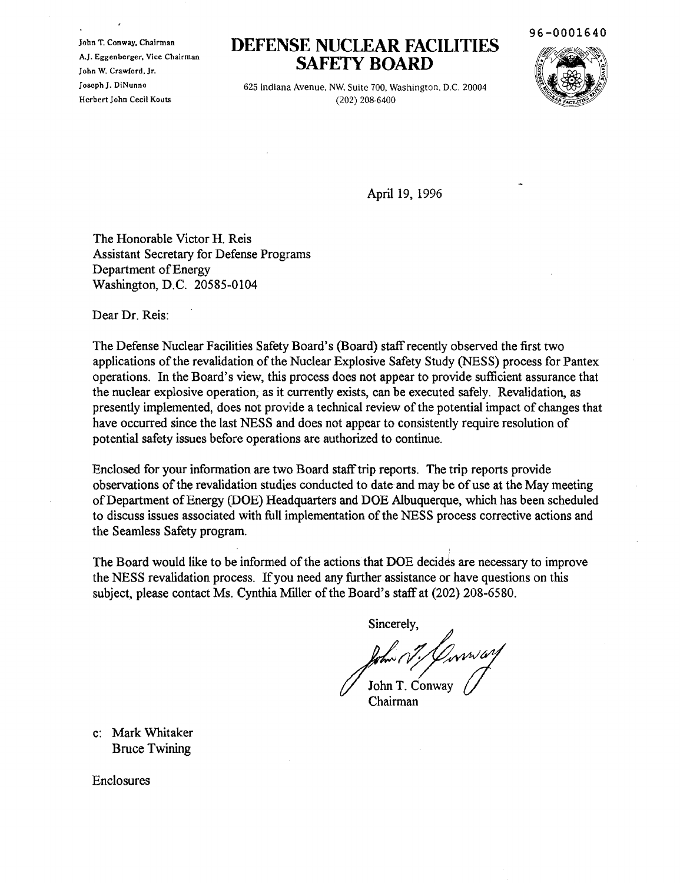John T. Conway, Chairman A.J. Eggenberger, Vice Chairman John W. Crawford, Jr. Joseph J. DiNunno Herbert John Cecil Kouts

## **DEFENSE NUCLEAR FACILITIES SAFETY BOARD**





625 Indiana Avenue, NW, Suite *700,* Washington, D.C. 20004 *(202) 208-6400*

April 19, 1996

The Honorable Victor H. Reis Assistant Secretary for Defense Programs Department of Energy Washington, D.C. 20585-0104

Dear Dr. Reis:

The Defense Nuclear Facilities Safety Board's (Board) staffrecently observed the first two applications of the revalidation of the Nuclear Explosive Safety Study (NESS) process for Pantex operations. In the Board's view, this process does not appear to provide sufficient assurance that the nuclear explosive operation; as it currently exists, can be executed safely. Revalidation, as presently implemented, does not provide a technical review of the potential impact of changes that have occurred since the last NESS and does not appear to consistently require resolution of potential safety issues before operations are authorized to continue.

Enclosed for your information are two Board stafftrip reports. The trip reports provide observations of the revalidation studies conducted to date and may be of use at the May meeting ofDepartment ofEnergy (DOE) Headquarters and DOE Albuquerque, which has been scheduled to discuss issues associated with full implementation of the NESS process corrective actions and the Seamless Safety program.

The Board would like to be informed of the actions that DOE decides are necessary to improve the NESS revalidation process. Ifyou need any further assistance or have questions on this subject, please contact Ms. Cynthia Miller of the Board's staff at (202) 208-6580.

Sincerely,

 $\frac{1}{2}$  for  $\frac{1}{2}$   $\frac{1}{2}$   $\frac{1}{2}$   $\frac{1}{2}$   $\frac{1}{2}$   $\frac{1}{2}$   $\frac{1}{2}$   $\frac{1}{2}$   $\frac{1}{2}$   $\frac{1}{2}$   $\frac{1}{2}$   $\frac{1}{2}$   $\frac{1}{2}$   $\frac{1}{2}$   $\frac{1}{2}$   $\frac{1}{2}$   $\frac{1}{2}$   $\frac{1}{2}$   $\frac{1}{2}$   $\frac{1}{2}$   $\frac{1}{2$ 

Chairman

c: Mark Whitaker Bruce Twining

Enclosures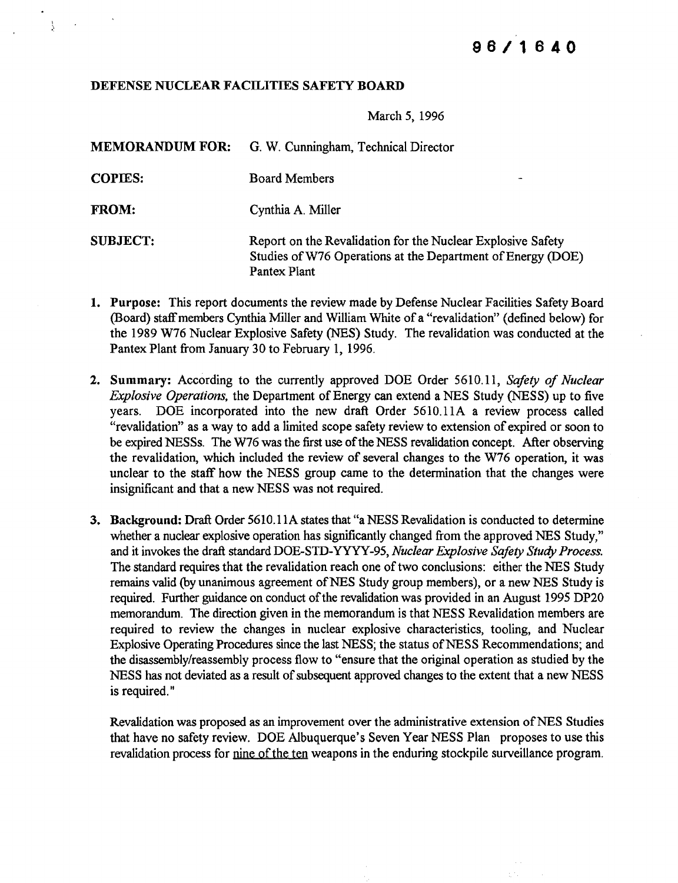## DEFENSE NUCLEAR FACILITIES SAFETY BOARD

 $\mathcal{L}$ 

March 5, 1996

| <b>MEMORANDUM FOR:</b> | G. W. Cunningham, Technical Director                                                                                                       |
|------------------------|--------------------------------------------------------------------------------------------------------------------------------------------|
| <b>COPIES:</b>         | <b>Board Members</b>                                                                                                                       |
| <b>FROM:</b>           | Cynthia A. Miller                                                                                                                          |
| <b>SUBJECT:</b>        | Report on the Revalidation for the Nuclear Explosive Safety<br>Studies of W76 Operations at the Department of Energy (DOE)<br>Pantex Plant |

- 1. Purpose: This report documents the review made by Defense Nuclear Facilities Safety Board (Board) staff members Cynthia Miller and William White of a "revalidation" (defined below) for the 1989 W76 Nuclear Explosive Safety (NES) Study. The revalidation was conducted at the Pantex Plant from January 30 to February 1, 1996.
- 2. Summary: According to the currently approved DOE Order 5610.11, *Safety of Nuclear Explosive Operations*, the Department of Energy can extend a NES Study (NESS) up to five years. DOE incorporated into the new draft Order 561O.11A a review process called "revalidation" as a way to add a limited scope safety review to extension of expired or soon to be expired NESSs. The W76 was the first use of the NESS revalidation concept. After observing the revalidation, which included the review of several changes to the W76 operation, it was unclear to the staff how the NESS group came to the determination that the changes were insignificant and that a new NESS was not required.
- 3. Background: Draft Order 5610.11A states that "a NESS Revalidation is conducted to determine whether a nuclear explosive operation has significantly changed from the approved NES Study," and it invokes the draft standard DOE-STD-*Y¥YY-95, Nuclear Explosive Safety Study Process.* The standard requires that the revalidation reach one of two conclusions: either the NES Study remains valid (by unanimous agreement of NES Study group members), or a new NES Study is required. Further guidance on conduct of the revalidation was provided in an August 1995 DP20 memorandum. The direction given in the memorandum is that NESS Revalidation members are required to review the changes in nuclear explosive characteristics, tooling, and Nuclear Explosive Operating Procedures since the last NESS; the status of NESS Recommendations; and the disassembly/reassembly process flow to "ensure that the original operation as studied by the NESS has not deviated as a result of subsequent approved changes to the extent that a new NESS is required. "

Revalidation was proposed as an improvement over the administrative extension of NES Studies that have no safety review. DOE Albuquerque's Seven Year NESS Plan proposes to use this revalidation process for nine of the ten weapons in the enduring stockpile surveillance program.